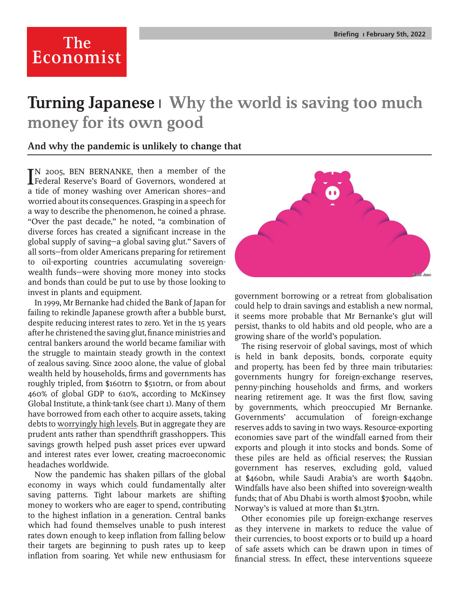# **Turning Japanese** ı **Why the world is saving too much money for its own good**

### **And why the pandemic is unlikely to change that**

IN 2005, BEN BERNANKE, then a member of the<br>Federal Reserve's Board of Governors, wondered at Federal Reserve's Board of Governors, wondered at a tide of money washing over American shores—and worried about its consequences. Grasping in a speech for a way to describe the phenomenon, he coined a phrase. "Over the past decade," he noted, "a combination of diverse forces has created a significant increase in the global supply of saving—a global saving glut." Savers of all sorts—from older Americans preparing for retirement to oil-exporting countries accumulating sovereignwealth funds—were shoving more money into stocks and bonds than could be put to use by those looking to invest in plants and equipment.

In 1999, Mr Bernanke had chided the Bank of Japan for failing to rekindle Japanese growth after a bubble burst, despite reducing interest rates to zero. Yet in the 15 years after he christened the saving glut, finance ministries and central bankers around the world became familiar with the struggle to maintain steady growth in the context of zealous saving. Since 2000 alone, the value of global wealth held by households, firms and governments has roughly tripled, from \$160trn to \$510trn, or from about 460% of global GDP to 610%, according to McKinsey Global Institute, a think-tank (see chart 1). Many of them have borrowed from each other to acquire assets, taking debts to worryingly high levels. But in aggregate they are prudent ants rather than spendthrift grasshoppers. This savings growth helped push asset prices ever upward and interest rates ever lower, creating macroeconomic headaches worldwide.

Now the pandemic has shaken pillars of the global economy in ways which could fundamentally alter saving patterns. Tight labour markets are shifting money to workers who are eager to spend, contributing to the highest inflation in a generation. Central banks which had found themselves unable to push interest rates down enough to keep inflation from falling below their targets are beginning to push rates up to keep inflation from soaring. Yet while new enthusiasm for



government borrowing or a retreat from globalisation could help to drain savings and establish a new normal, it seems more probable that Mr Bernanke's glut will persist, thanks to old habits and old people, who are a growing share of the world's population.

The rising reservoir of global savings, most of which is held in bank deposits, bonds, corporate equity and property, has been fed by three main tributaries: governments hungry for foreign-exchange reserves, penny-pinching households and firms, and workers nearing retirement age. It was the first flow, saving by governments, which preoccupied Mr Bernanke. Governments' accumulation of foreign-exchange reserves adds to saving in two ways. Resource-exporting economies save part of the windfall earned from their exports and plough it into stocks and bonds. Some of these piles are held as official reserves; the Russian government has reserves, excluding gold, valued at \$460bn, while Saudi Arabia's are worth \$440bn. Windfalls have also been shifted into sovereign-wealth funds; that of Abu Dhabi is worth almost \$700bn, while Norway's is valued at more than \$1.3trn.

Other economies pile up foreign-exchange reserves as they intervene in markets to reduce the value of their currencies, to boost exports or to build up a hoard of safe assets which can be drawn upon in times of financial stress. In effect, these interventions squeeze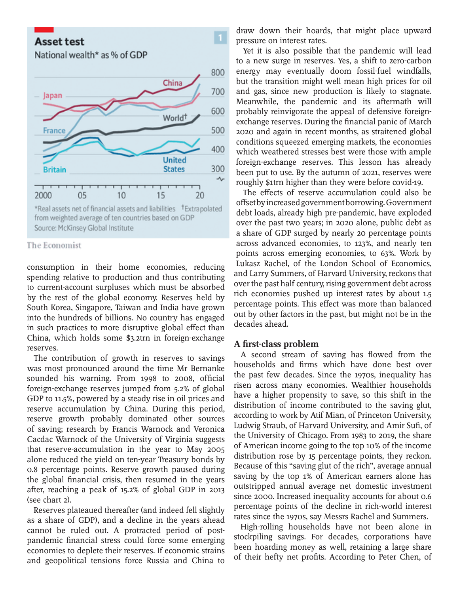

National wealth\* as % of GDP



from weighted average of ten countries based on GDP Source: McKinsey Global Institute

#### The Economist

consumption in their home economies, reducing spending relative to production and thus contributing to current-account surpluses which must be absorbed by the rest of the global economy. Reserves held by South Korea, Singapore, Taiwan and India have grown into the hundreds of billions. No country has engaged in such practices to more disruptive global effect than China, which holds some \$3.2trn in foreign-exchange reserves.

The contribution of growth in reserves to savings was most pronounced around the time Mr Bernanke sounded his warning. From 1998 to 2008, official foreign-exchange reserves jumped from 5.2% of global GDP to 11.5%, powered by a steady rise in oil prices and reserve accumulation by China. During this period, reserve growth probably dominated other sources of saving; research by Francis Warnock and Veronica Cacdac Warnock of the University of Virginia suggests that reserve-accumulation in the year to May 2005 alone reduced the yield on ten-year Treasury bonds by 0.8 percentage points. Reserve growth paused during the global financial crisis, then resumed in the years after, reaching a peak of 15.2% of global GDP in 2013 (see chart 2).

Reserves plateaued thereafter (and indeed fell slightly as a share of GDP), and a decline in the years ahead cannot be ruled out. A protracted period of postpandemic financial stress could force some emerging economies to deplete their reserves. If economic strains and geopolitical tensions force Russia and China to draw down their hoards, that might place upward pressure on interest rates.

Yet it is also possible that the pandemic will lead to a new surge in reserves. Yes, a shift to zero-carbon energy may eventually doom fossil-fuel windfalls, but the transition might well mean high prices for oil and gas, since new production is likely to stagnate. Meanwhile, the pandemic and its aftermath will probably reinvigorate the appeal of defensive foreignexchange reserves. During the financial panic of March 2020 and again in recent months, as straitened global conditions squeezed emerging markets, the economies which weathered stresses best were those with ample foreign-exchange reserves. This lesson has already been put to use. By the autumn of 2021, reserves were roughly \$1trn higher than they were before covid-19.

The effects of reserve accumulation could also be offset by increased government borrowing. Government debt loads, already high pre-pandemic, have exploded over the past two years; in 2020 alone, public debt as a share of GDP surged by nearly 20 percentage points across advanced economies, to 123%, and nearly ten points across emerging economies, to 63%. Work by Lukasz Rachel, of the London School of Economics, and Larry Summers, of Harvard University, reckons that over the past half century, rising government debt across rich economies pushed up interest rates by about 1.5 percentage points. This effect was more than balanced out by other factors in the past, but might not be in the decades ahead.

#### **A first-class problem**

A second stream of saving has flowed from the households and firms which have done best over the past few decades. Since the 1970s, inequality has risen across many economies. Wealthier households have a higher propensity to save, so this shift in the distribution of income contributed to the saving glut, according to work by Atif Mian, of Princeton University, Ludwig Straub, of Harvard University, and Amir Sufi, of the University of Chicago. From 1983 to 2019, the share of American income going to the top 10% of the income distribution rose by 15 percentage points, they reckon. Because of this "saving glut of the rich", average annual saving by the top 1% of American earners alone has outstripped annual average net domestic investment since 2000. Increased inequality accounts for about 0.6 percentage points of the decline in rich-world interest rates since the 1970s, say Messrs Rachel and Summers.

High-rolling households have not been alone in stockpiling savings. For decades, corporations have been hoarding money as well, retaining a large share of their hefty net profits. According to Peter Chen, of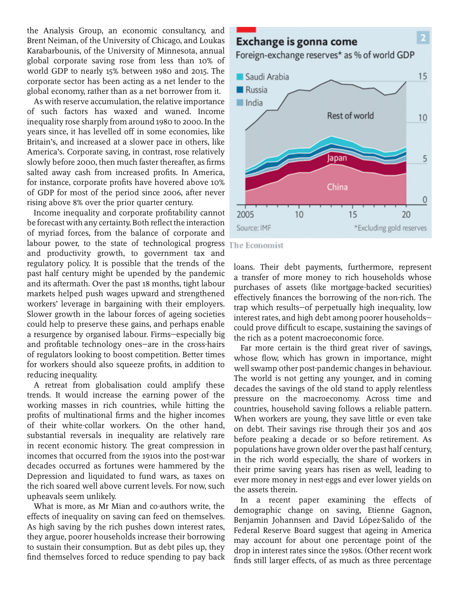the Analysis Group, an economic consultancy, and Brent Neiman, of the University of Chicago, and Loukas Karabarbounis, of the University of Minnesota, annual global corporate saving rose from less than 10% of world GDP to nearly 15% between 1980 and 2015. The corporate sector has been acting as a net lender to the global economy, rather than as a net borrower from it.

As with reserve accumulation, the relative importance of such factors has waxed and waned. Income inequality rose sharply from around 1980 to 2000. In the years since, it has levelled off in some economies, like Britain's, and increased at a slower pace in others, like America's. Corporate saving, in contrast, rose relatively slowly before 2000, then much faster thereafter, as firms salted away cash from increased profits. In America, for instance, corporate profits have hovered above 10% of GDP for most of the period since 2006, after never rising above 8% over the prior quarter century.

Income inequality and corporate profitability cannot be forecast with any certainty. Both reflect the interaction of myriad forces, from the balance of corporate and labour power, to the state of technological progress and productivity growth, to government tax and regulatory policy. It is possible that the trends of the past half century might be upended by the pandemic and its aftermath. Over the past 18 months, tight labour markets helped push wages upward and strengthened workers' leverage in bargaining with their employers. Slower growth in the labour forces of ageing societies could help to preserve these gains, and perhaps enable a resurgence by organised labour. Firms—especially big and profitable technology ones—are in the cross-hairs of regulators looking to boost competition. Better times for workers should also squeeze profits, in addition to reducing inequality.

A retreat from globalisation could amplify these trends. It would increase the earning power of the working masses in rich countries, while hitting the profits of multinational firms and the higher incomes of their white-collar workers. On the other hand, substantial reversals in inequality are relatively rare in recent economic history. The great compression in incomes that occurred from the 1910s into the post-war decades occurred as fortunes were hammered by the Depression and liquidated to fund wars, as taxes on the rich soared well above current levels. For now, such upheavals seem unlikely.

What is more, as Mr Mian and co-authors write, the effects of inequality on saving can feed on themselves. As high saving by the rich pushes down interest rates, they argue, poorer households increase their borrowing to sustain their consumption. But as debt piles up, they find themselves forced to reduce spending to pay back

## Exchange is gonna come

Foreign-exchange reserves\* as % of world GDP



The Economist

loans. Their debt payments, furthermore, represent a transfer of more money to rich households whose purchases of assets (like mortgage-backed securities) effectively finances the borrowing of the non-rich. The trap which results—of perpetually high inequality, low interest rates, and high debt among poorer households could prove difficult to escape, sustaining the savings of the rich as a potent macroeconomic force.

Far more certain is the third great river of savings, whose flow, which has grown in importance, might well swamp other post-pandemic changes in behaviour. The world is not getting any younger, and in coming decades the savings of the old stand to apply relentless pressure on the macroeconomy. Across time and countries, household saving follows a reliable pattern. When workers are young, they save little or even take on debt. Their savings rise through their 30s and 40s before peaking a decade or so before retirement. As populations have grown older over the past half century, in the rich world especially, the share of workers in their prime saving years has risen as well, leading to ever more money in nest-eggs and ever lower yields on the assets therein.

In a recent paper examining the effects of demographic change on saving, Etienne Gagnon, Benjamin Johannsen and David López-Salido of the Federal Reserve Board suggest that ageing in America may account for about one percentage point of the drop in interest rates since the 1980s. (Other recent work finds still larger effects, of as much as three percentage

 $\overline{a}$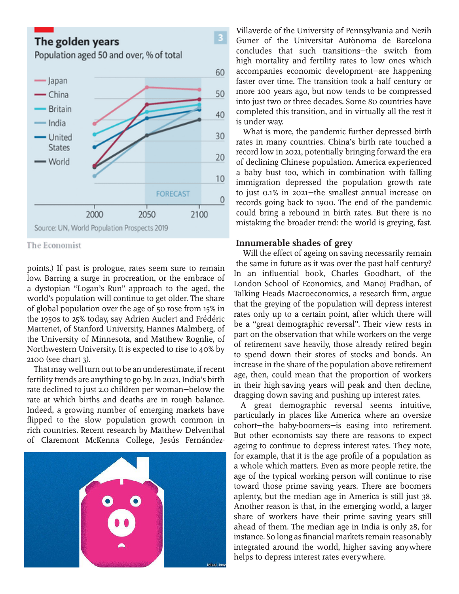## The golden years

Population aged 50 and over, % of total



The Economist

points.) If past is prologue, rates seem sure to remain low. Barring a surge in procreation, or the embrace of a dystopian "Logan's Run" approach to the aged, the world's population will continue to get older. The share of global population over the age of 50 rose from 15% in the 1950s to 25% today, say Adrien Auclert and Frédéric Martenet, of Stanford University, Hannes Malmberg, of the University of Minnesota, and Matthew Rognlie, of Northwestern University. It is expected to rise to 40% by 2100 (see chart 3).

That may well turn out to be an underestimate, if recent fertility trends are anything to go by. In 2021, India's birth rate declined to just 2.0 children per woman—below the rate at which births and deaths are in rough balance. Indeed, a growing number of emerging markets have flipped to the slow population growth common in rich countries. Recent research by Matthew Delventhal of Claremont McKenna College, Jesús Fernández-



Villaverde of the University of Pennsylvania and Nezih Guner of the Universitat Autònoma de Barcelona concludes that such transitions—the switch from high mortality and fertility rates to low ones which accompanies economic development—are happening faster over time. The transition took a half century or more 100 years ago, but now tends to be compressed into just two or three decades. Some 80 countries have completed this transition, and in virtually all the rest it is under way.

What is more, the pandemic further depressed birth rates in many countries. China's birth rate touched a record low in 2021, potentially bringing forward the era of declining Chinese population. America experienced a baby bust too, which in combination with falling immigration depressed the population growth rate to just 0.1% in 2021—the smallest annual increase on records going back to 1900. The end of the pandemic could bring a rebound in birth rates. But there is no mistaking the broader trend: the world is greying, fast.

#### **Innumerable shades of grey**

Will the effect of ageing on saving necessarily remain the same in future as it was over the past half century? In an influential book, Charles Goodhart, of the London School of Economics, and Manoj Pradhan, of Talking Heads Macroeconomics, a research firm, argue that the greying of the population will depress interest rates only up to a certain point, after which there will be a "great demographic reversal". Their view rests in part on the observation that while workers on the verge of retirement save heavily, those already retired begin to spend down their stores of stocks and bonds. An increase in the share of the population above retirement age, then, could mean that the proportion of workers in their high-saving years will peak and then decline, dragging down saving and pushing up interest rates.

A great demographic reversal seems intuitive, particularly in places like America where an oversize cohort—the baby-boomers—is easing into retirement. But other economists say there are reasons to expect ageing to continue to depress interest rates. They note, for example, that it is the age profile of a population as a whole which matters. Even as more people retire, the age of the typical working person will continue to rise toward those prime saving years. There are boomers aplenty, but the median age in America is still just 38. Another reason is that, in the emerging world, a larger share of workers have their prime saving years still ahead of them. The median age in India is only 28, for instance. So long as financial markets remain reasonably integrated around the world, higher saving anywhere helps to depress interest rates everywhere.